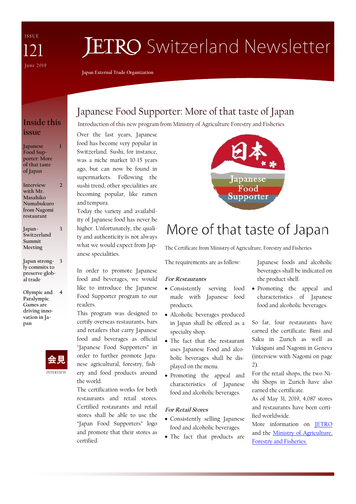I S S U E June 2019 121

# **JETRO** Switzerland Newsletter

**Japan External Trade Organization**

### **Inside this issue**

**1**

**3**

**Japanese Food Supporter: More of that taste of Japan**

**Interview with Mr. Masahiko Numabukuro from Nagomi restaurant 2**

**Japan-Switzerland Summit Meeting**

**Japan strong-3 ly commits to preserve global trade** 

**Olympic and 4 Paralympic Games are driving innovation in Japan**



## Japanese Food Supporter: More of that taste of Japan

Introduction of this new program from Ministry of Agriculture Forestry and Fisheries

Over the last years, Japanese food has become very popular in Switzerland. Sushi, for instance, was a niche market 10-15 years ago, but can now be found in supermarkets. Following the sushi trend, other specialities are becoming popular, like ramen and tempura.

Today the variety and availability of Japanese food has never be higher. Unfortunately, the quality and authenticity is not always what we would expect from Japanese specialities.

In order to promote Japanese food and beverages, we would like to introduce the Japanese Food Supporter program to our readers.

This program was designed to certify overseas restaurants, bars and retailers that carry Japanese food and beverages as official "Japanese Food Supporters" in order to further promote Japanese agricultural, forestry, fishery and food products around the world.

The certification works for both restaurants and retail stores. Certified restaurants and retail stores shall be able to use the "Japan Food Supporters" logo and promote that their stores as certified.



## More of that taste of Japan

The Certificate from Ministry of Agriculture, Forestry and Fisheries

The requirements are as follow:

#### **For Restaurants**

- Consistently serving food made with Japanese food products.
- Alcoholic beverages produced in Japan shall be offered as a specialty shop.
- The fact that the restaurant uses Japanese Food and alcoholic beverages shall be displayed on the menu.
- Promoting the appeal and characteristics of Japanese food and alcoholic beverages.

#### **For Retail Stores**

- Consistently selling Japanese food and alcoholic beverages.
- The fact that products are

Japanese foods and alcoholic beverages shall be indicated on the product shelf.

 Promoting the appeal and characteristics of Japanese food and alcoholic beverages.

So far, four restaurants have earned the certificate: Bimi and Saku in Zurich as well as Yukiguni and Nagomi in Geneva (interview with Nagomi on page  $2)$ .

For the retail shops, the two Nishi Shops in Zurich have also earned the certificate.

As of May 31, 2019, 4,087 stores and restaurants have been certified worldwide.

More information on [JETRO](https://www.jetro.go.jp/en/trends/foods/supporter/)  and the [Ministry of Agriculture,](http://www.maff.go.jp/j/shokusan/syokubun/attach/pdf/suppo-2.pdf)  [Forestry and Fisheries.](http://www.maff.go.jp/j/shokusan/syokubun/attach/pdf/suppo-2.pdf)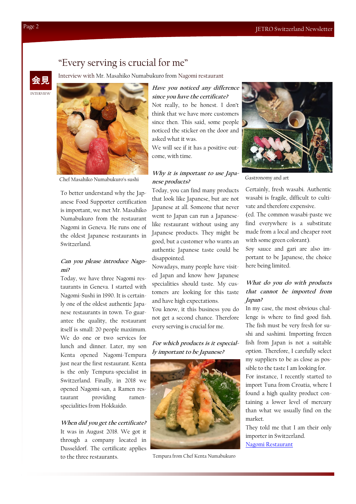### "Every serving is crucial for me"

Interview with Mr. Masahiko Numabukuro from Nagomi restaurant





To better understand why the Japanese Food Supporter certification is important, we met Mr. Masahiko Numabukuro from the restaurant Nagomi in Geneva. He runs one of the oldest Japanese restaurants in Switzerland.

#### **Can you please introduce Nagomi?**

Today, we have three Nagomi restaurants in Geneva. I started with Nagomi-Sushi in 1990. It is certainly one of the oldest authentic Japanese restaurants in town. To guarantee the quality, the restaurant itself is small: 20 people maximum. We do one or two services for lunch and dinner. Later, my son Kenta opened Nagomi-Tempura just near the first restaurant. Kenta is the only Tempura-specialist in Switzerland. Finally, in 2018 we opened Nagomi-san, a Ramen restaurant providing ramenspecialities from Hokkaido.

#### **When did you get the certificate?**

It was in August 2018. We got it through a company located in Dusseldorf. The certificate applies to the three restaurants.

**Have you noticed any difference since you have the certificate?** Not really, to be honest. I don't think that we have more customers since then. This said, some people noticed the sticker on the door and asked what it was.

We will see if it has a positive outcome, with time.

#### **Why it is important to use Japanese products?**  Chef Masahiko Numabukuro's sushi Gastronomy and art

Today, you can find many products that look like Japanese, but are not Japanese at all. Someone that never went to Japan can run a Japaneselike restaurant without using any Japanese products. They might be good, but a customer who wants an authentic Japanese taste could be disappointed.

Nowadays, many people have visited Japan and know how Japanese specialities should taste. My customers are looking for this taste and have high expectations. You know, it this business you do not get a second chance. Therefore every serving is crucial for me.

#### **For which products is it especially important to be Japanese?**



Tempura from Chef Kenta Numabukuro



Certainly, fresh wasabi. Authentic wasabi is fragile, difficult to cultivate and therefore expensive.

(ed. The common wasabi-paste we find everywhere is a substitute made from a local and cheaper root with some green colorant).

Soy sauce and gari are also important to be Japanese, the choice here being limited.

#### **What do you do with products that cannot be imported from Japan?**

In my case, the most obvious challenge is where to find good fish. The fish must be very fresh for sushi and sashimi. Importing frozen fish from Japan is not a suitable option. Therefore, I carefully select my suppliers to be as close as possible to the taste I am looking for.

For instance, I recently started to import Tuna from Croatia, where I found a high quality product containing a lower level of mercury than what we usually find on the market.

They told me that I am their only importer in Switzerland. [Nagomi Restaurant](https://www.restaurant-nagomi.ch/)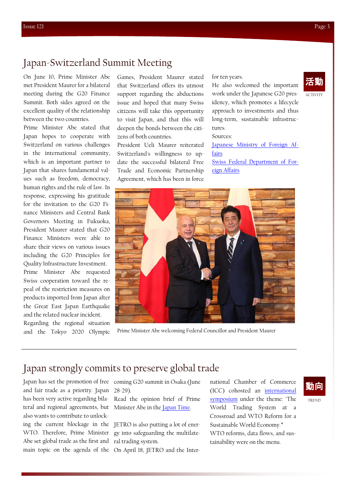## Japan-Switzerland Summit Meeting

On June 10, Prime Minister Abe met President Maurer for a bilateral meeting during the G20 Finance Summit. Both sides agreed on the excellent quality of the relationship between the two countries.

Prime Minister Abe stated that Japan hopes to cooperate with Switzerland on various challenges in the international community, which is an important partner to Japan that shares fundamental values such as freedom, democracy, human rights and the rule of law. In response, expressing his gratitude for the invitation to the G20 Finance Ministers and Central Bank Governors Meeting in Fukuoka, President Maurer stated that G20 Finance Ministers were able to share their views on various issues including the G20 Principles for Quality Infrastructure Investment. Prime Minister Abe requested Swiss cooperation toward the repeal of the restriction measures on products imported from Japan after the Great East Japan Earthquake and the related nuclear incident. Regarding the regional situation

and the Tokyo 2020 Olympic

Games, President Maurer stated that Switzerland offers its utmost support regarding the abductions issue and hoped that many Swiss citizens will take this opportunity to visit Japan, and that this will deepen the bonds between the citizens of both countries.

President Ueli Maurer reiterated Switzerland's willingness to update the successful bilateral Free Trade and Economic Partnership Agreement, which has been in force

for ten years.

ACTIVITY 活動

He also welcomed the important work under the Japanese G20 presidency, which promotes a lifecycle approach to investments and thus long-term, sustainable infrastructures.

Sources:

[Japanese Ministry of Foreign Af](https://www.mofa.go.jp/erp/c_see/ch/page4e_001033.html)[fairs](https://www.mofa.go.jp/erp/c_see/ch/page4e_001033.html) [Swiss Federal Department of For](https://www.eda.admin.ch/countries/japan/en/home/news/news.html/content/countries/japan/en/meta/news/2019/6/maurer_abe)[eign Affairs](https://www.eda.admin.ch/countries/japan/en/home/news/news.html/content/countries/japan/en/meta/news/2019/6/maurer_abe)



Prime Minister Abe welcoming Federal Councillor and President Maurer

## Japan strongly commits to preserve global trade

and fair trade as a priority. Japan 28-29). has been very active regarding bila-Read the opinion brief of Prime teral and regional agreements, but Minister Abe in the <u>Japan Time</u>. also wants to contribute to unlock-Abe set global trade as the first and ral trading system.

Japan has set the promotion of free coming G20 summit in Osaka (June

ing the current blockage in the JETRO is also putting a lot of ener-WTO. Therefore, Prime Minister gy into safeguarding the multilate-

main topic on the agenda of the On April 18, JETRO and the Inter-

national Chamber of Commerce (ICC) cohosted an [international](https://www.jetro.go.jp/en/news/announcement/2019/0d0190dc75f5c7e8.html)  [symposium](https://www.jetro.go.jp/en/news/announcement/2019/0d0190dc75f5c7e8.html) under the theme: "The World Trading System at a Crossroad and WTO Reform for a Sustainable World Economy." WTO reforms, data flows, and sustainability were on the menu.

## 動向

TREND